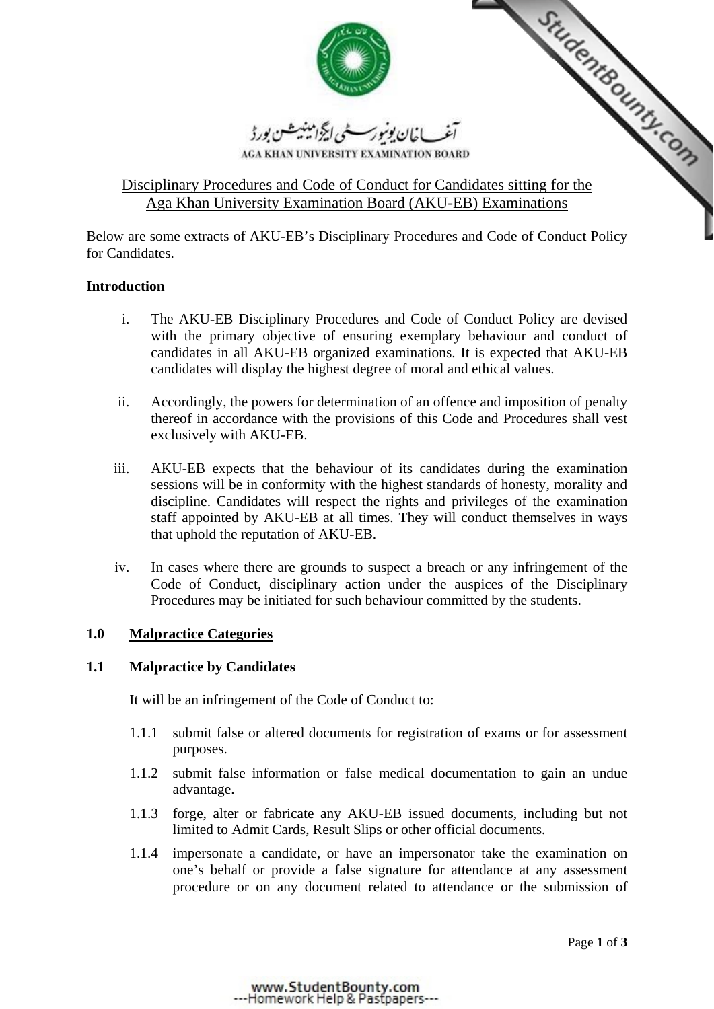

AGA KHAN UNIVERSITY EXAMINATION BOARD

# <u>المقرر المستعمل المجرد المستعمل بورد المستعمل بورد المستعمل بورد المستعمل بورد المستعمل بورد المستعمل بورد المس</u><br>AGA KHAN UNIVERSITY EXAMINATION BOARD<br>Disciplinary Procedures and Code of Conduct for Candidates sitting fo Aga Khan University Examination Board (AKU-EB) Examinations

Below are some extracts of AKU-EB's Disciplinary Procedures and Code of Conduct Policy for Candidates.

# **Introduction**

- i. The AKU-EB Disciplinary Procedures and Code of Conduct Policy are devised with the primary objective of ensuring exemplary behaviour and conduct of candidates in all AKU-EB organized examinations. It is expected that AKU-EB candidates will display the highest degree of moral and ethical values.
- ii. Accordingly, the powers for determination of an offence and imposition of penalty thereof in accordance with the provisions of this Code and Procedures shall vest exclusively with AKU-EB.
- iii. AKU-EB expects that the behaviour of its candidates during the examination sessions will be in conformity with the highest standards of honesty, morality and discipline. Candidates will respect the rights and privileges of the examination staff appointed by AKU-EB at all times. They will conduct themselves in ways that uphold the reputation of AKU-EB.
- iv. In cases where there are grounds to suspect a breach or any infringement of the Code of Conduct, disciplinary action under the auspices of the Disciplinary Procedures may be initiated for such behaviour committed by the students.

## **1.0 Malpractice Categories**

## **1.1 Malpractice by Candidates**

It will be an infringement of the Code of Conduct to:

- 1.1.1 submit false or altered documents for registration of exams or for assessment purposes.
- 1.1.2 submit false information or false medical documentation to gain an undue advantage.
- 1.1.3 forge, alter or fabricate any AKU-EB issued documents, including but not limited to Admit Cards, Result Slips or other official documents.
- 1.1.4 impersonate a candidate, or have an impersonator take the examination on one's behalf or provide a false signature for attendance at any assessment procedure or on any document related to attendance or the submission of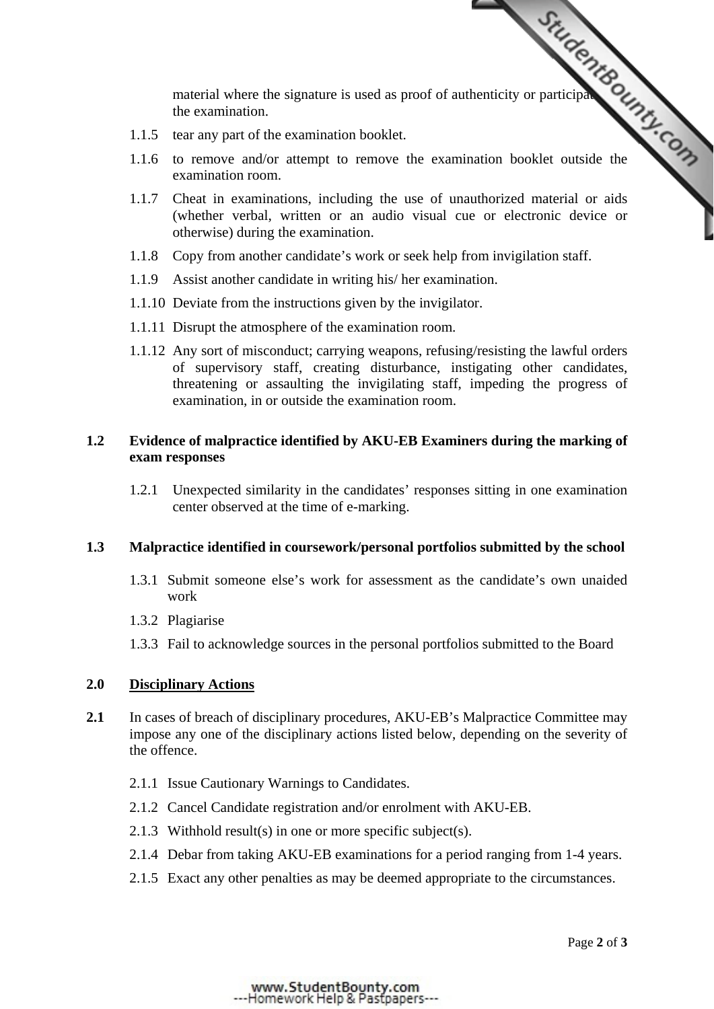the examination.

- 1.1.5 tear any part of the examination booklet.
- material where the signature is used as proof of authenticity or participation  $\frac{G}{G}$ 1.1.6 to remove and/or attempt to remove the exami[nation booklet outside the](http://www.StudentBounty.com)  examination room.
- 1.1.7 Cheat in examinations, including the use of unauthorized material or aids (whether verbal, written or an audio visual cue or electronic device or otherwise) during the examination.
- 1.1.8 Copy from another candidate's work or seek help from invigilation staff.
- 1.1.9 Assist another candidate in writing his/ her examination.
- 1.1.10 Deviate from the instructions given by the invigilator.
- 1.1.11 Disrupt the atmosphere of the examination room.
- 1.1.12 Any sort of misconduct; carrying weapons, refusing/resisting the lawful orders of supervisory staff, creating disturbance, instigating other candidates, threatening or assaulting the invigilating staff, impeding the progress of examination, in or outside the examination room.

### **1.2 Evidence of malpractice identified by AKU-EB Examiners during the marking of exam responses**

1.2.1 Unexpected similarity in the candidates' responses sitting in one examination center observed at the time of e-marking.

## **1.3 Malpractice identified in coursework/personal portfolios submitted by the school**

- 1.3.1 Submit someone else's work for assessment as the candidate's own unaided work
- 1.3.2 Plagiarise
- 1.3.3 Fail to acknowledge sources in the personal portfolios submitted to the Board

### **2.0 Disciplinary Actions**

- 2.1 In cases of breach of disciplinary procedures, AKU-EB's Malpractice Committee may impose any one of the disciplinary actions listed below, depending on the severity of the offence.
	- 2.1.1 Issue Cautionary Warnings to Candidates.
	- 2.1.2 Cancel Candidate registration and/or enrolment with AKU-EB.
	- 2.1.3 Withhold result(s) in one or more specific subject(s).
	- 2.1.4 Debar from taking AKU-EB examinations for a period ranging from 1-4 years.
	- 2.1.5 Exact any other penalties as may be deemed appropriate to the circumstances.